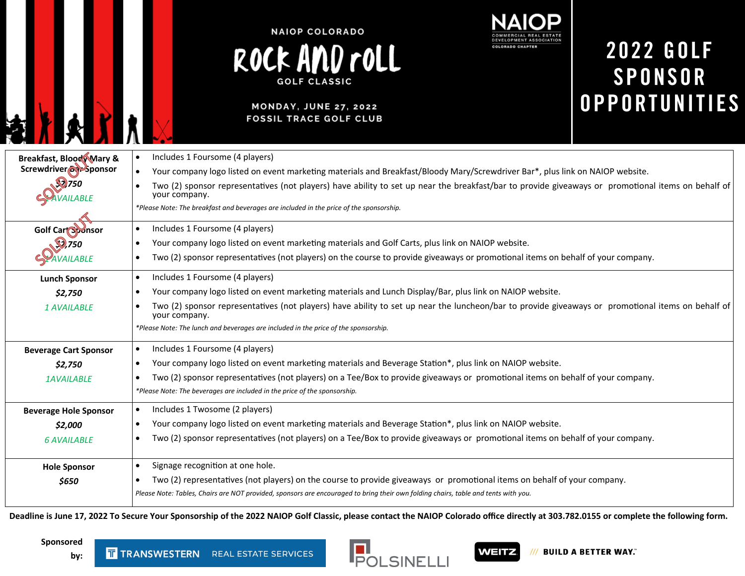

### **MONDAY, JUNE 27, 2022 FOSSIL TRACE GOLF CLUB**



## **2022 GOLF SPONSOR OPPORTUNITIES**

| <b>Breakfast, Blood Mary &amp;</b>                                                                                               | Includes 1 Foursome (4 players)<br>$\bullet$                                                                                                                       |  |  |  |
|----------------------------------------------------------------------------------------------------------------------------------|--------------------------------------------------------------------------------------------------------------------------------------------------------------------|--|--|--|
| Screwdriver <sub>col</sub> -Sponsor                                                                                              | Your company logo listed on event marketing materials and Breakfast/Bloody Mary/Screwdriver Bar*, plus link on NAIOP website.<br>$\bullet$                         |  |  |  |
| $\mathbb{Z}$ 750                                                                                                                 | Two (2) sponsor representatives (not players) have ability to set up near the breakfast/bar to provide giveaways or promotional items on behalf of                 |  |  |  |
| your company.                                                                                                                    |                                                                                                                                                                    |  |  |  |
|                                                                                                                                  | *Please Note: The breakfast and beverages are included in the price of the sponsorship.                                                                            |  |  |  |
| Golf Cart Sponsor                                                                                                                | Includes 1 Foursome (4 players)<br>$\bullet$                                                                                                                       |  |  |  |
| $\mathcal{Q}$ ,750                                                                                                               | Your company logo listed on event marketing materials and Golf Carts, plus link on NAIOP website.<br>$\bullet$                                                     |  |  |  |
| AVAILABLE                                                                                                                        | Two (2) sponsor representatives (not players) on the course to provide giveaways or promotional items on behalf of your company.<br>$\bullet$                      |  |  |  |
| Includes 1 Foursome (4 players)<br>$\bullet$<br><b>Lunch Sponsor</b>                                                             |                                                                                                                                                                    |  |  |  |
| Your company logo listed on event marketing materials and Lunch Display/Bar, plus link on NAIOP website.<br>\$2,750              |                                                                                                                                                                    |  |  |  |
| 1 AVAILABLE                                                                                                                      | Two (2) sponsor representatives (not players) have ability to set up near the luncheon/bar to provide giveaways or promotional items on behalf of<br>your company. |  |  |  |
|                                                                                                                                  | *Please Note: The lunch and beverages are included in the price of the sponsorship.                                                                                |  |  |  |
| Includes 1 Foursome (4 players)<br>$\bullet$<br><b>Beverage Cart Sponsor</b>                                                     |                                                                                                                                                                    |  |  |  |
| Your company logo listed on event marketing materials and Beverage Station*, plus link on NAIOP website.<br>$\bullet$<br>\$2,750 |                                                                                                                                                                    |  |  |  |
| <b>1AVAILABLE</b>                                                                                                                | Two (2) sponsor representatives (not players) on a Tee/Box to provide giveaways or promotional items on behalf of your company.                                    |  |  |  |
|                                                                                                                                  | *Please Note: The beverages are included in the price of the sponsorship.                                                                                          |  |  |  |
| Includes 1 Twosome (2 players)<br><b>Beverage Hole Sponsor</b>                                                                   |                                                                                                                                                                    |  |  |  |
| Your company logo listed on event marketing materials and Beverage Station*, plus link on NAIOP website.<br>\$2,000<br>$\bullet$ |                                                                                                                                                                    |  |  |  |
| <b>6 AVAILABLE</b>                                                                                                               | Two (2) sponsor representatives (not players) on a Tee/Box to provide giveaways or promotional items on behalf of your company.<br>$\bullet$                       |  |  |  |
|                                                                                                                                  |                                                                                                                                                                    |  |  |  |
| <b>Hole Sponsor</b>                                                                                                              | Signage recognition at one hole.<br>$\bullet$                                                                                                                      |  |  |  |
| \$650                                                                                                                            | Two (2) representatives (not players) on the course to provide giveaways or promotional items on behalf of your company.<br>$\bullet$                              |  |  |  |
|                                                                                                                                  | Please Note: Tables, Chairs are NOT provided, sponsors are encouraged to bring their own folding chairs, table and tents with you.                                 |  |  |  |
|                                                                                                                                  |                                                                                                                                                                    |  |  |  |

**Deadline is June 17, 2022 To Secure Your Sponsorship of the 2022 NAIOP Golf Classic, please contact the NAIOP Colorado office directly at 303.782.0155 or complete the following form.** 

**Sponsored** 

**by:**